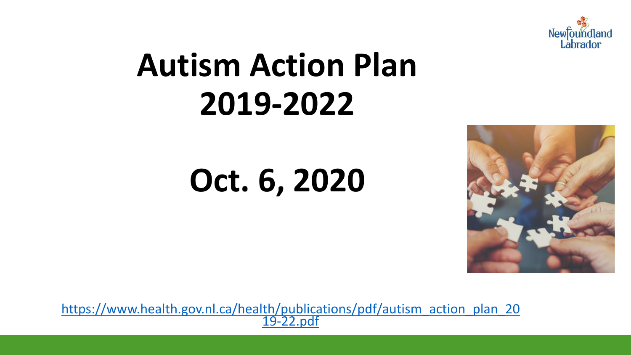

# **Autism Action Plan 2019-2022**

# **Oct. 6, 2020**



[https://www.health.gov.nl.ca/health/publications/pdf/autism\\_action\\_plan\\_20](https://www.health.gov.nl.ca/health/publications/pdf/autism_action_plan_2019-22.pdf) 19-22.pdf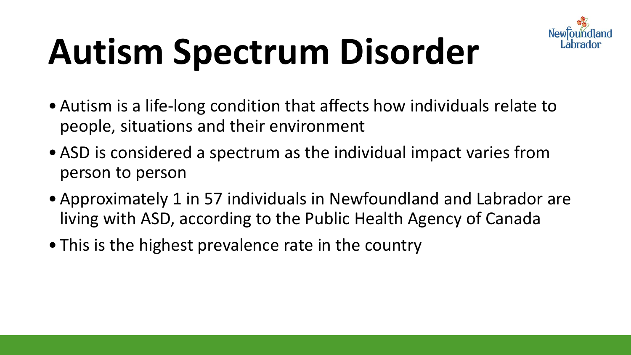

# **Autism Spectrum Disorder**

- Autism is a life-long condition that affects how individuals relate to people, situations and their environment
- ASD is considered a spectrum as the individual impact varies from person to person
- Approximately 1 in 57 individuals in Newfoundland and Labrador are living with ASD, according to the Public Health Agency of Canada
- This is the highest prevalence rate in the country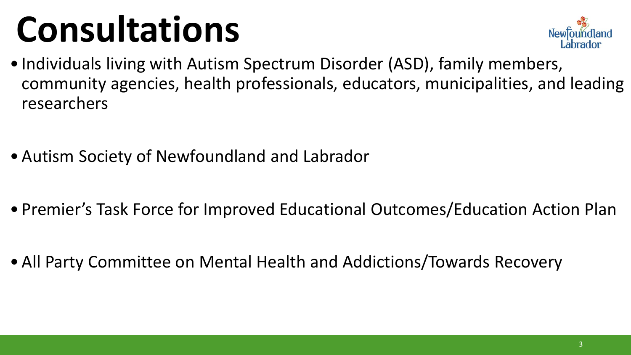# **Consultations**



- Individuals living with Autism Spectrum Disorder (ASD), family members, community agencies, health professionals, educators, municipalities, and leading researchers
- Autism Society of Newfoundland and Labrador
- Premier's Task Force for Improved Educational Outcomes/Education Action Plan
- All Party Committee on Mental Health and Addictions/Towards Recovery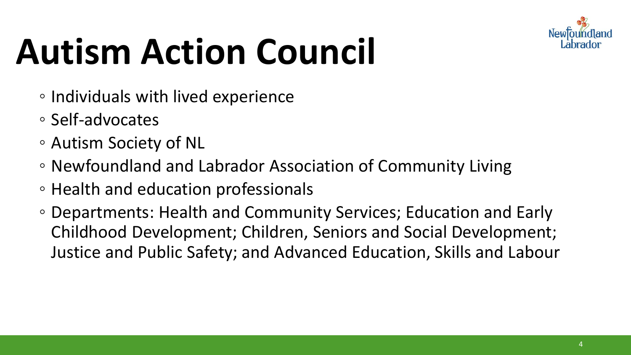

# **Autism Action Council**

- Individuals with lived experience
- Self-advocates
- Autism Society of NL
- Newfoundland and Labrador Association of Community Living
- Health and education professionals
- Departments: Health and Community Services; Education and Early Childhood Development; Children, Seniors and Social Development; Justice and Public Safety; and Advanced Education, Skills and Labour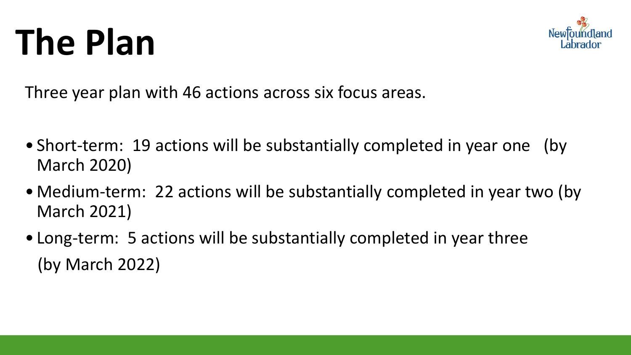# **The Plan**



Three year plan with 46 actions across six focus areas.

- Short-term: 19 actions will be substantially completed in year one (by March 2020)
- Medium-term: 22 actions will be substantially completed in year two (by March 2021)
- Long-term: 5 actions will be substantially completed in year three (by March 2022)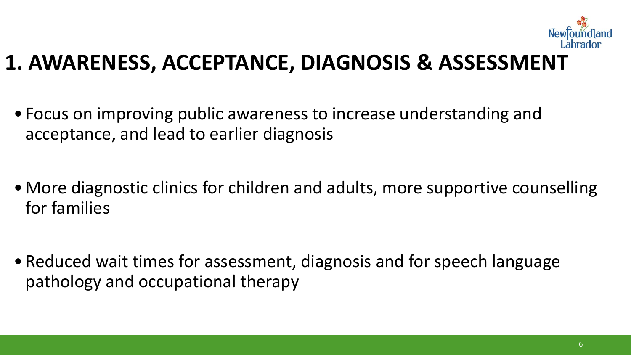

#### **1. AWARENESS, ACCEPTANCE, DIAGNOSIS & ASSESSMENT**

- Focus on improving public awareness to increase understanding and acceptance, and lead to earlier diagnosis
- More diagnostic clinics for children and adults, more supportive counselling for families
- Reduced wait times for assessment, diagnosis and for speech language pathology and occupational therapy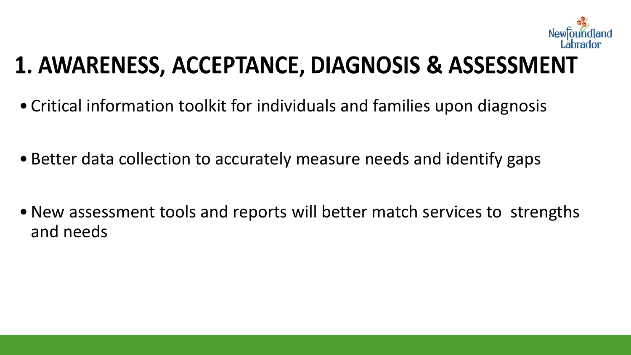

#### 1. AWARENESS, ACCEPTANCE, DIAGNOSIS & ASSESSMENT

- Critical information toolkit for individuals and families upon diagnosis
- Better data collection to accurately measure needs and identify gaps
- New assessment tools and reports will better match services to strengths and needs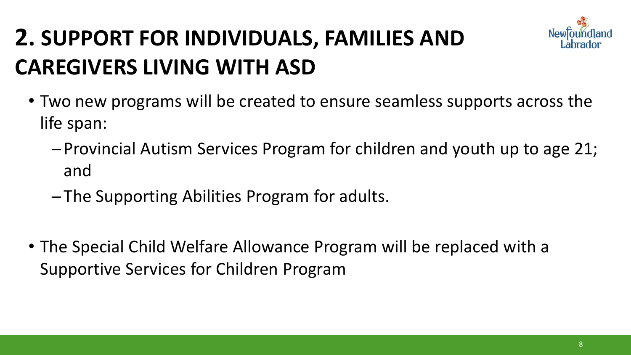#### **2. SUPPORT FOR INDIVIDUALS, FAMILIES AND CAREGIVERS LIVING WITH ASD**

- Two new programs will be created to ensure seamless supports across the life span:
	- ─ Provincial Autism Services Program for children and youth up to age 21; and
	- ─ The Supporting Abilities Program for adults.
- The Special Child Welfare Allowance Program will be replaced with a Supportive Services for Children Program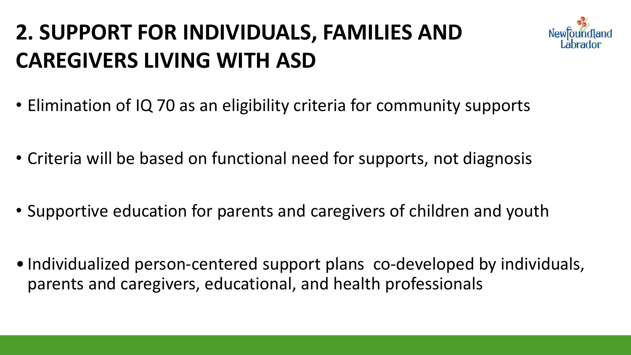#### **2. SUPPORT FOR INDIVIDUALS, FAMILIES AND CAREGIVERS LIVING WITH ASD**



- Elimination of IQ 70 as an eligibility criteria for community supports
- Criteria will be based on functional need for supports, not diagnosis
- Supportive education for parents and caregivers of children and youth
- Individualized person-centered support plans co-developed by individuals, parents and caregivers, educational, and health professionals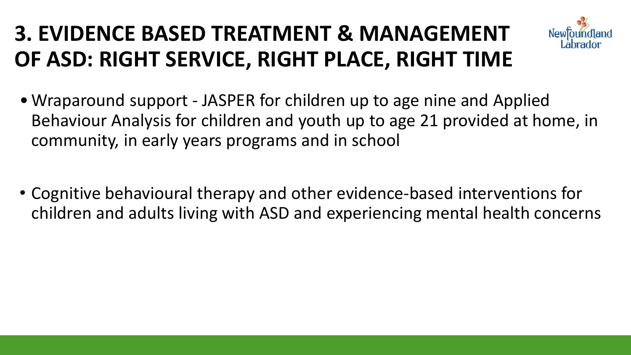#### **3. EVIDENCE BASED TREATMENT & MANAGEMENT OF ASD: RIGHT SERVICE, RIGHT PLACE, RIGHT TIME**



- Wraparound support JASPER for children up to age nine and Applied Behaviour Analysis for children and youth up to age 21 provided at home, in community, in early years programs and in school
- Cognitive behavioural therapy and other evidence-based interventions for children and adults living with ASD and experiencing mental health concerns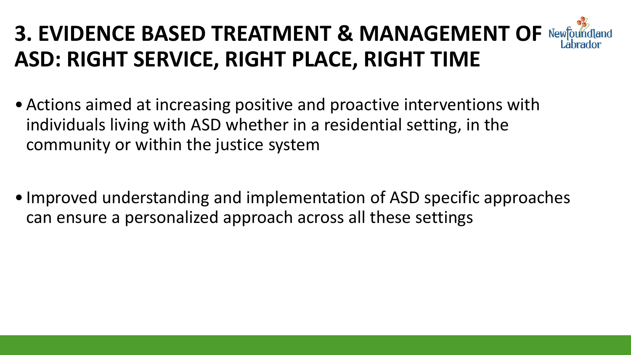#### **3. EVIDENCE BASED TREATMENT & MANAGEMENT OF ASD: RIGHT SERVICE, RIGHT PLACE, RIGHT TIME**

- Actions aimed at increasing positive and proactive interventions with individuals living with ASD whether in a residential setting, in the community or within the justice system
- Improved understanding and implementation of ASD specific approaches can ensure a personalized approach across all these settings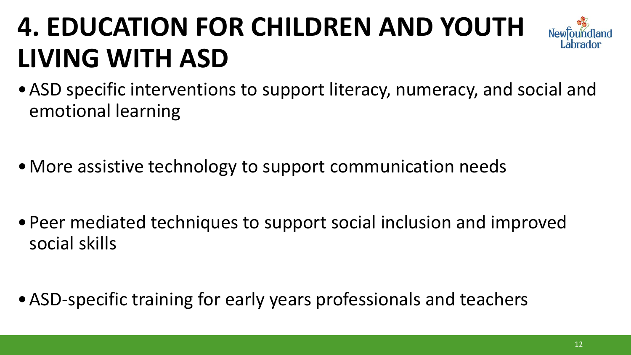## **4. EDUCATION FOR CHILDREN AND YOUTH LIVING WITH ASD**



- More assistive technology to support communication needs
- •Peer mediated techniques to support social inclusion and improved social skills
- •ASD-specific training for early years professionals and teachers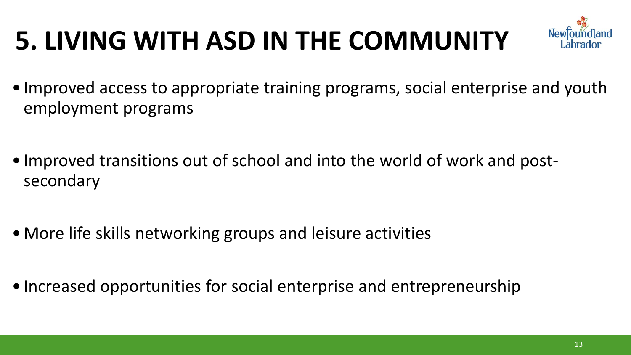## **5. LIVING WITH ASD IN THE COMMUNITY**



- Improved access to appropriate training programs, social enterprise and youth employment programs
- Improved transitions out of school and into the world of work and postsecondary
- More life skills networking groups and leisure activities
- Increased opportunities for social enterprise and entrepreneurship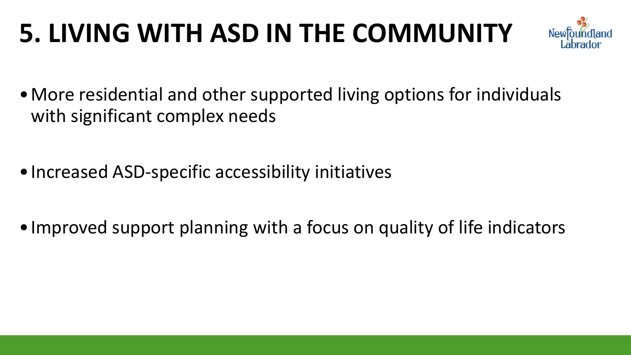## **5. LIVING WITH ASD IN THE COMMUNITY**



- •More residential and other supported living options for individuals with significant complex needs
- •Increased ASD-specific accessibility initiatives
- Improved support planning with a focus on quality of life indicators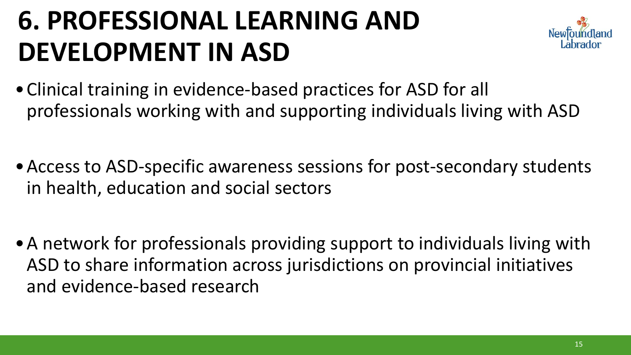## **6. PROFESSIONAL LEARNING AND DEVELOPMENT IN ASD**



- •Clinical training in evidence-based practices for ASD for all professionals working with and supporting individuals living with ASD
- •Access to ASD-specific awareness sessions for post-secondary students in health, education and social sectors
- •A network for professionals providing support to individuals living with ASD to share information across jurisdictions on provincial initiatives and evidence-based research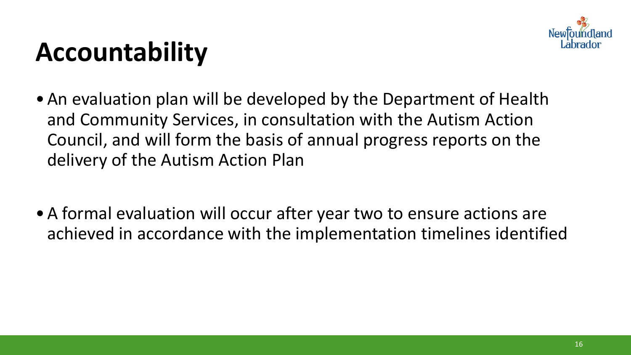

## **Accountability**

- •An evaluation plan will be developed by the Department of Health and Community Services, in consultation with the Autism Action Council, and will form the basis of annual progress reports on the delivery of the Autism Action Plan
- •A formal evaluation will occur after year two to ensure actions are achieved in accordance with the implementation timelines identified